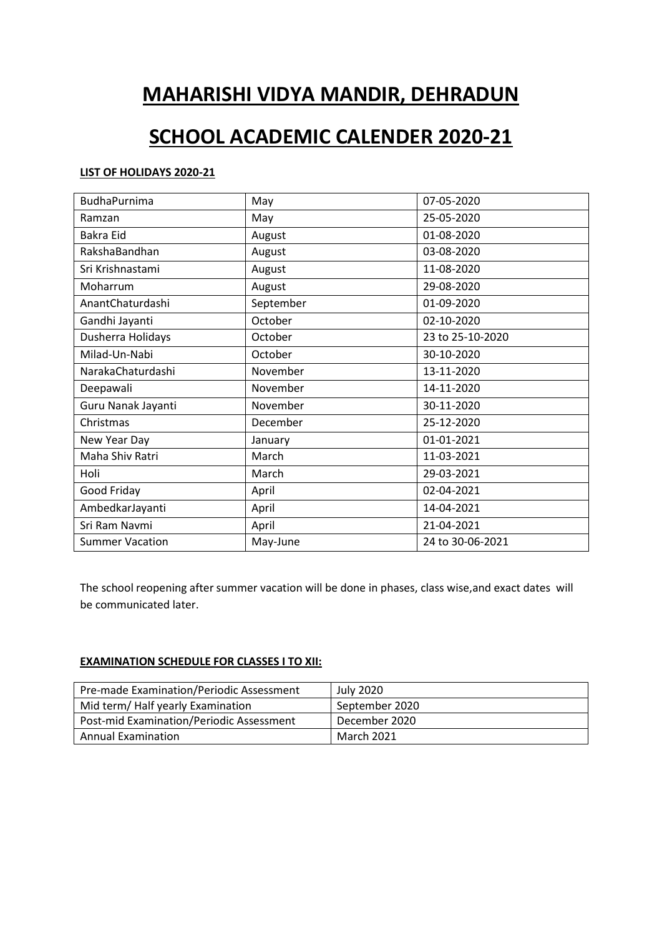# **MAHARISHI VIDYA MANDIR, DEHRADUN**

## **SCHOOL ACADEMIC CALENDER 2020-21**

### **LIST OF HOLIDAYS 2020-21**

| <b>BudhaPurnima</b>    | May       | 07-05-2020       |
|------------------------|-----------|------------------|
| Ramzan                 | May       | 25-05-2020       |
| Bakra Eid              | August    | 01-08-2020       |
| RakshaBandhan          | August    | 03-08-2020       |
| Sri Krishnastami       | August    | 11-08-2020       |
| Moharrum               | August    | 29-08-2020       |
| AnantChaturdashi       | September | 01-09-2020       |
| Gandhi Jayanti         | October   | 02-10-2020       |
| Dusherra Holidays      | October   | 23 to 25-10-2020 |
| Milad-Un-Nabi          | October   | 30-10-2020       |
| NarakaChaturdashi      | November  | 13-11-2020       |
| Deepawali              | November  | 14-11-2020       |
| Guru Nanak Jayanti     | November  | 30-11-2020       |
| Christmas              | December  | 25-12-2020       |
| New Year Day           | January   | 01-01-2021       |
| Maha Shiv Ratri        | March     | 11-03-2021       |
| Holi                   | March     | 29-03-2021       |
| Good Friday            | April     | 02-04-2021       |
| AmbedkarJayanti        | April     | 14-04-2021       |
| Sri Ram Navmi          | April     | 21-04-2021       |
| <b>Summer Vacation</b> | May-June  | 24 to 30-06-2021 |

The school reopening after summer vacation will be done in phases, class wise,and exact dates will be communicated later.

## **EXAMINATION SCHEDULE FOR CLASSES I TO XII:**

| Pre-made Examination/Periodic Assessment | July 2020      |
|------------------------------------------|----------------|
| Mid term/Half yearly Examination         | September 2020 |
| Post-mid Examination/Periodic Assessment | December 2020  |
| <b>Annual Examination</b>                | March 2021     |